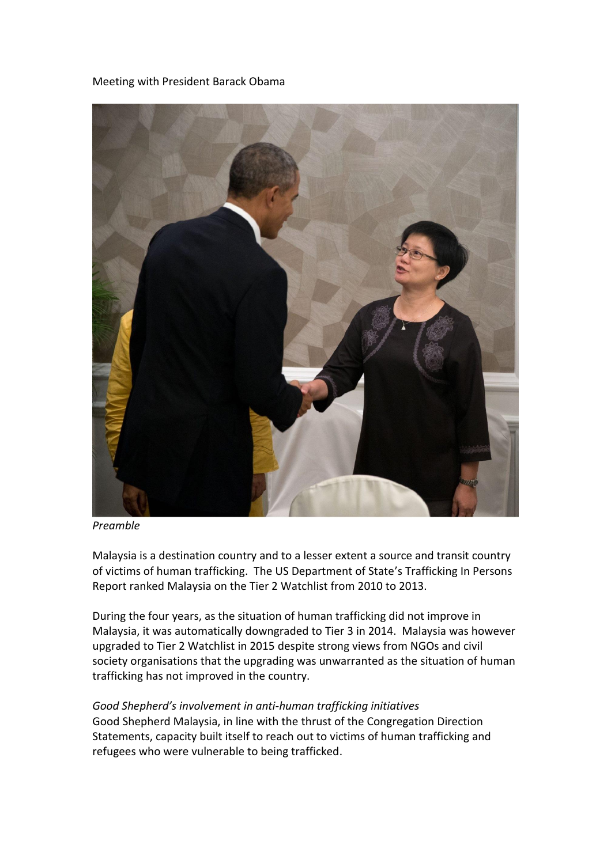Meeting with President Barack Obama



*Preamble*

Malaysia is a destination country and to a lesser extent a source and transit country of victims of human trafficking. The US Department of State's Trafficking In Persons Report ranked Malaysia on the Tier 2 Watchlist from 2010 to 2013.

During the four years, as the situation of human trafficking did not improve in Malaysia, it was automatically downgraded to Tier 3 in 2014. Malaysia was however upgraded to Tier 2 Watchlist in 2015 despite strong views from NGOs and civil society organisations that the upgrading was unwarranted as the situation of human trafficking has not improved in the country.

## *Good Shepherd's involvement in anti-human trafficking initiatives*

Good Shepherd Malaysia, in line with the thrust of the Congregation Direction Statements, capacity built itself to reach out to victims of human trafficking and refugees who were vulnerable to being trafficked.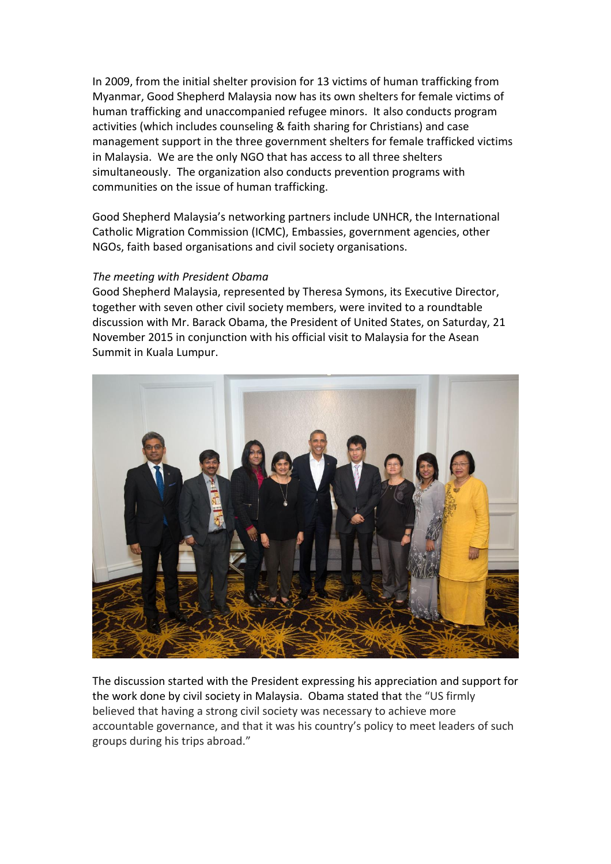In 2009, from the initial shelter provision for 13 victims of human trafficking from Myanmar, Good Shepherd Malaysia now has its own shelters for female victims of human trafficking and unaccompanied refugee minors. It also conducts program activities (which includes counseling & faith sharing for Christians) and case management support in the three government shelters for female trafficked victims in Malaysia. We are the only NGO that has access to all three shelters simultaneously. The organization also conducts prevention programs with communities on the issue of human trafficking.

Good Shepherd Malaysia's networking partners include UNHCR, the International Catholic Migration Commission (ICMC), Embassies, government agencies, other NGOs, faith based organisations and civil society organisations.

## *The meeting with President Obama*

Good Shepherd Malaysia, represented by Theresa Symons, its Executive Director, together with seven other civil society members, were invited to a roundtable discussion with Mr. Barack Obama, the President of United States, on Saturday, 21 November 2015 in conjunction with his official visit to Malaysia for the Asean Summit in Kuala Lumpur.



The discussion started with the President expressing his appreciation and support for the work done by civil society in Malaysia. Obama stated that the "US firmly believed that having a strong civil society was necessary to achieve more accountable governance, and that it was his country's policy to meet leaders of such groups during his trips abroad."